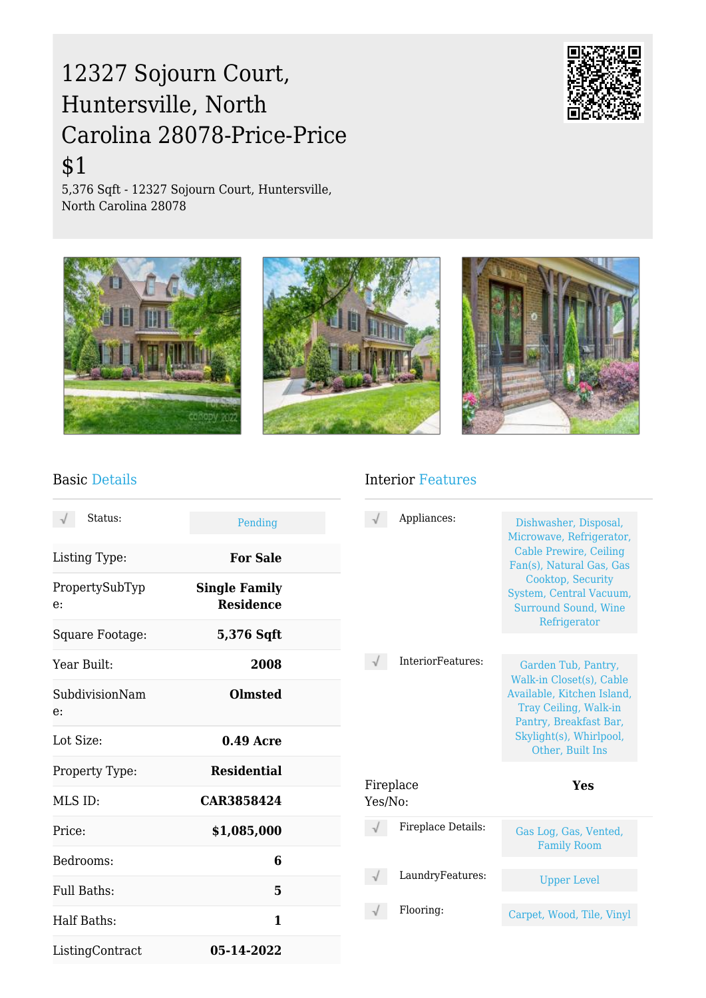# 12327 Sojourn Court, Huntersville, North Carolina 28078-Price-Price

## \$1

5,376 Sqft - 12327 Sojourn Court, Huntersville, North Carolina 28078





#### Basic Details

#### Interior Features

| Status:              | Pending                                  | Appliances:        | Dishwasher, Disposal,<br>Microwave, Refrigerator,                                           |
|----------------------|------------------------------------------|--------------------|---------------------------------------------------------------------------------------------|
| Listing Type:        | <b>For Sale</b>                          |                    | <b>Cable Prewire, Ceiling</b><br>Fan(s), Natural Gas, Gas                                   |
| PropertySubTyp<br>e: | <b>Single Family</b><br><b>Residence</b> |                    | Cooktop, Security<br>System, Central Vacuum,<br><b>Surround Sound, Wine</b><br>Refrigerator |
| Square Footage:      | 5,376 Sqft                               |                    |                                                                                             |
| Year Built:          | 2008                                     | InteriorFeatures:  | Garden Tub, Pantry,<br>Walk-in Closet(s), Cable                                             |
| SubdivisionNam<br>e: | <b>Olmsted</b>                           |                    | Available, Kitchen Island,<br>Tray Ceiling, Walk-in<br>Pantry, Breakfast Bar,               |
| Lot Size:            | $0.49$ Acre                              |                    | Skylight(s), Whirlpool,<br>Other, Built Ins                                                 |
| Property Type:       | <b>Residential</b>                       | Fireplace          | Yes                                                                                         |
| MLS ID:              | CAR3858424                               | Yes/No:            |                                                                                             |
| Price:               | \$1,085,000                              | Fireplace Details: | Gas Log, Gas, Vented,<br><b>Family Room</b>                                                 |
| Bedrooms:            | 6                                        |                    |                                                                                             |
| Full Baths:          | 5                                        | LaundryFeatures:   | <b>Upper Level</b>                                                                          |
| Half Baths:          | $\mathbf{1}$                             | Flooring:          | Carpet, Wood, Tile, Vinyl                                                                   |
| ListingContract      | 05-14-2022                               |                    |                                                                                             |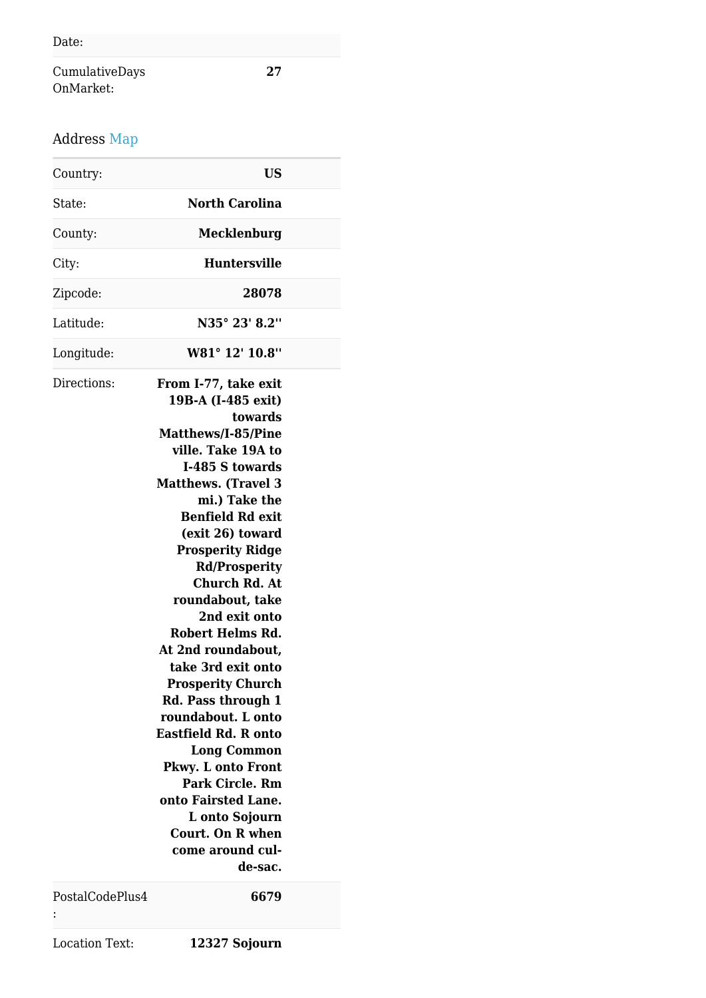CumulativeDays OnMarket:

### Address Map

| Country:        | <b>US</b>                                                                                                                                                                                                                                                                                                                                                                                                                                                                                                                                                                                                                                                                          |  |
|-----------------|------------------------------------------------------------------------------------------------------------------------------------------------------------------------------------------------------------------------------------------------------------------------------------------------------------------------------------------------------------------------------------------------------------------------------------------------------------------------------------------------------------------------------------------------------------------------------------------------------------------------------------------------------------------------------------|--|
| State:          | <b>North Carolina</b>                                                                                                                                                                                                                                                                                                                                                                                                                                                                                                                                                                                                                                                              |  |
| County:         | Mecklenburg                                                                                                                                                                                                                                                                                                                                                                                                                                                                                                                                                                                                                                                                        |  |
| City:           | <b>Huntersville</b>                                                                                                                                                                                                                                                                                                                                                                                                                                                                                                                                                                                                                                                                |  |
| Zipcode:        | 28078                                                                                                                                                                                                                                                                                                                                                                                                                                                                                                                                                                                                                                                                              |  |
| Latitude:       | N35° 23' 8.2"                                                                                                                                                                                                                                                                                                                                                                                                                                                                                                                                                                                                                                                                      |  |
| Longitude:      | W81° 12' 10.8"                                                                                                                                                                                                                                                                                                                                                                                                                                                                                                                                                                                                                                                                     |  |
| Directions:     | From I-77, take exit<br>19B-A (I-485 exit)<br>towards<br>Matthews/I-85/Pine<br>ville. Take 19A to<br>I-485 S towards<br><b>Matthews.</b> (Travel 3<br>mi.) Take the<br><b>Benfield Rd exit</b><br>(exit 26) toward<br><b>Prosperity Ridge</b><br><b>Rd/Prosperity</b><br><b>Church Rd. At</b><br>roundabout, take<br>2nd exit onto<br>Robert Helms Rd.<br>At 2nd roundabout,<br>take 3rd exit onto<br><b>Prosperity Church</b><br>Rd. Pass through 1<br>roundabout. L onto<br><b>Eastfield Rd. R onto</b><br><b>Long Common</b><br>Pkwy. L onto Front<br><b>Park Circle. Rm</b><br>onto Fairsted Lane.<br>L onto Sojourn<br><b>Court. On R when</b><br>come around cul-<br>de-sac. |  |
| PostalCodePlus4 | 6679                                                                                                                                                                                                                                                                                                                                                                                                                                                                                                                                                                                                                                                                               |  |

:

Location Text: **12327 Sojourn**